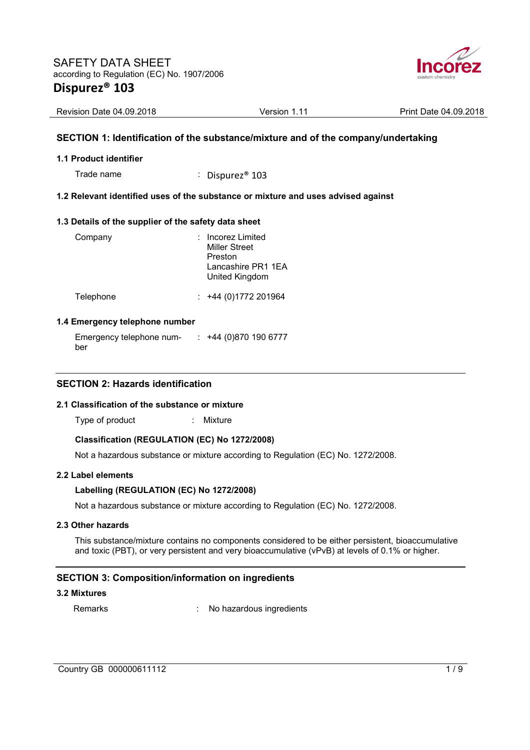

| Revision Date 04.09.2018 | Version 1.11 | Print Date 04.09.2018 |
|--------------------------|--------------|-----------------------|

### **SECTION 1: Identification of the substance/mixture and of the company/undertaking**

#### **1.1 Product identifier**

Trade name : Dispurez<sup>®</sup> 103

#### **1.2 Relevant identified uses of the substance or mixture and uses advised against**

#### **1.3 Details of the supplier of the safety data sheet**

| Company   | : Incorez Limited<br><b>Miller Street</b><br>Preston<br>Lancashire PR1 1FA<br>United Kingdom |
|-----------|----------------------------------------------------------------------------------------------|
| Telephone | $: +44(0)1772201964$                                                                         |

#### **1.4 Emergency telephone number**

Emergency telephone number : +44 (0)870 190 6777

#### **SECTION 2: Hazards identification**

### **2.1 Classification of the substance or mixture**

Type of product : Mixture

#### **Classification (REGULATION (EC) No 1272/2008)**

Not a hazardous substance or mixture according to Regulation (EC) No. 1272/2008.

#### **2.2 Label elements**

#### **Labelling (REGULATION (EC) No 1272/2008)**

Not a hazardous substance or mixture according to Regulation (EC) No. 1272/2008.

#### **2.3 Other hazards**

This substance/mixture contains no components considered to be either persistent, bioaccumulative and toxic (PBT), or very persistent and very bioaccumulative (vPvB) at levels of 0.1% or higher.

#### **SECTION 3: Composition/information on ingredients**

#### **3.2 Mixtures**

Remarks : No hazardous ingredients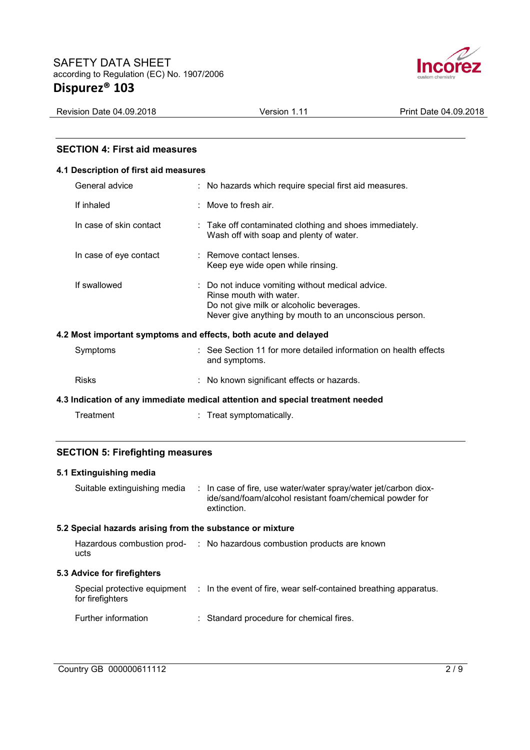

Revision Date 04.09.2018 **Version 1.11** Print Date 04.09.2018

### **SECTION 4: First aid measures**

#### **4.1 Description of first aid measures**

|                                                                 | General advice          |  | : No hazards which require special first aid measures.                                                                                                                            |
|-----------------------------------------------------------------|-------------------------|--|-----------------------------------------------------------------------------------------------------------------------------------------------------------------------------------|
|                                                                 | If inhaled              |  | : Move to fresh air.                                                                                                                                                              |
|                                                                 | In case of skin contact |  | : Take off contaminated clothing and shoes immediately.<br>Wash off with soap and plenty of water.                                                                                |
|                                                                 | In case of eye contact  |  | : Remove contact lenses.<br>Keep eye wide open while rinsing.                                                                                                                     |
|                                                                 | If swallowed            |  | : Do not induce vomiting without medical advice.<br>Rinse mouth with water.<br>Do not give milk or alcoholic beverages.<br>Never give anything by mouth to an unconscious person. |
| 4.2 Most important symptoms and effects, both acute and delayed |                         |  |                                                                                                                                                                                   |
|                                                                 | Symptoms                |  | : See Section 11 for more detailed information on health effects<br>and symptoms.                                                                                                 |
|                                                                 | <b>Risks</b>            |  | : No known significant effects or hazards.                                                                                                                                        |

**4.3 Indication of any immediate medical attention and special treatment needed** 

| Treatment | Treat symptomatically. |
|-----------|------------------------|
|           |                        |

# **SECTION 5: Firefighting measures**

# **5.1 Extinguishing media**  Suitable extinguishing media : In case of fire, use water/water spray/water jet/carbon dioxide/sand/foam/alcohol resistant foam/chemical powder for extinction. **5.2 Special hazards arising from the substance or mixture**  Hazardous combustion prod-: No hazardous combustion products are known ucts **5.3 Advice for firefighters**  Special protective equipment : In the event of fire, wear self-contained breathing apparatus. for firefighters Further information : Standard procedure for chemical fires.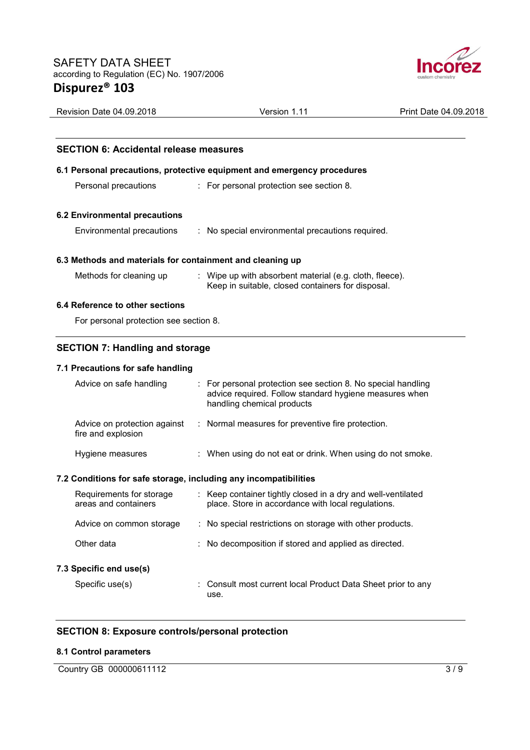

| <b>Revision Date 04.09.2018</b>                                  | Version 1.11                                                                                                                                       | Print Date 04.09.2018 |
|------------------------------------------------------------------|----------------------------------------------------------------------------------------------------------------------------------------------------|-----------------------|
|                                                                  |                                                                                                                                                    |                       |
| <b>SECTION 6: Accidental release measures</b>                    |                                                                                                                                                    |                       |
|                                                                  | 6.1 Personal precautions, protective equipment and emergency procedures                                                                            |                       |
| Personal precautions                                             | : For personal protection see section 8.                                                                                                           |                       |
| <b>6.2 Environmental precautions</b>                             |                                                                                                                                                    |                       |
| Environmental precautions                                        | : No special environmental precautions required.                                                                                                   |                       |
| 6.3 Methods and materials for containment and cleaning up        |                                                                                                                                                    |                       |
| Methods for cleaning up                                          | : Wipe up with absorbent material (e.g. cloth, fleece).<br>Keep in suitable, closed containers for disposal.                                       |                       |
| 6.4 Reference to other sections                                  |                                                                                                                                                    |                       |
| For personal protection see section 8.                           |                                                                                                                                                    |                       |
| <b>SECTION 7: Handling and storage</b>                           |                                                                                                                                                    |                       |
| 7.1 Precautions for safe handling                                |                                                                                                                                                    |                       |
| Advice on safe handling                                          | For personal protection see section 8. No special handling<br>advice required. Follow standard hygiene measures when<br>handling chemical products |                       |
| Advice on protection against<br>fire and explosion               | Normal measures for preventive fire protection.<br>÷                                                                                               |                       |
| Hygiene measures                                                 | : When using do not eat or drink. When using do not smoke.                                                                                         |                       |
| 7.2 Conditions for safe storage, including any incompatibilities |                                                                                                                                                    |                       |
|                                                                  |                                                                                                                                                    |                       |

| Requirements for storage<br>areas and containers | : Keep container tightly closed in a dry and well-ventilated<br>place. Store in accordance with local regulations. |
|--------------------------------------------------|--------------------------------------------------------------------------------------------------------------------|
| Advice on common storage                         | : No special restrictions on storage with other products.                                                          |
| Other data                                       | : No decomposition if stored and applied as directed.                                                              |
| 7.3 Specific end use(s)                          |                                                                                                                    |
| Specific use(s)                                  | : Consult most current local Product Data Sheet prior to any<br>use.                                               |

# **SECTION 8: Exposure controls/personal protection**

# **8.1 Control parameters**

Country GB 000000611112 3/9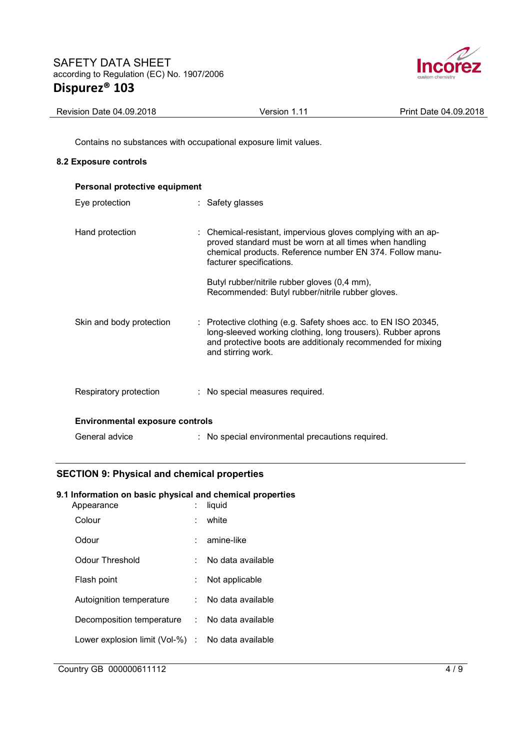

| <b>Revision Date 04.09.2018</b> | Version 1.11 | Print Date 04.09.2018 |
|---------------------------------|--------------|-----------------------|

Contains no substances with occupational exposure limit values.

### **8.2 Exposure controls**

| Personal protective equipment          |                                                                                                                                                                                                                     |  |  |
|----------------------------------------|---------------------------------------------------------------------------------------------------------------------------------------------------------------------------------------------------------------------|--|--|
| Eye protection                         | : Safety glasses                                                                                                                                                                                                    |  |  |
| Hand protection                        | : Chemical-resistant, impervious gloves complying with an ap-<br>proved standard must be worn at all times when handling<br>chemical products. Reference number EN 374. Follow manu-<br>facturer specifications.    |  |  |
|                                        | Butyl rubber/nitrile rubber gloves (0,4 mm),<br>Recommended: Butyl rubber/nitrile rubber gloves.                                                                                                                    |  |  |
| Skin and body protection               | : Protective clothing (e.g. Safety shoes acc. to EN ISO 20345,<br>long-sleeved working clothing, long trousers). Rubber aprons<br>and protective boots are additionaly recommended for mixing<br>and stirring work. |  |  |
| Respiratory protection                 | : No special measures required.                                                                                                                                                                                     |  |  |
| <b>Environmental exposure controls</b> |                                                                                                                                                                                                                     |  |  |
| General advice                         | : No special environmental precautions required.                                                                                                                                                                    |  |  |

# **SECTION 9: Physical and chemical properties**

# **9.1 Information on basic physical and chemical properties**

| Appearance                                        |    | liquid              |
|---------------------------------------------------|----|---------------------|
| Colour                                            |    | white               |
| Odour                                             |    | amine-like          |
| Odour Threshold                                   |    | No data available   |
| Flash point                                       | t. | Not applicable      |
| Autoignition temperature                          |    | No data available   |
| Decomposition temperature                         |    | : No data available |
| Lower explosion limit (Vol-%) : No data available |    |                     |
|                                                   |    |                     |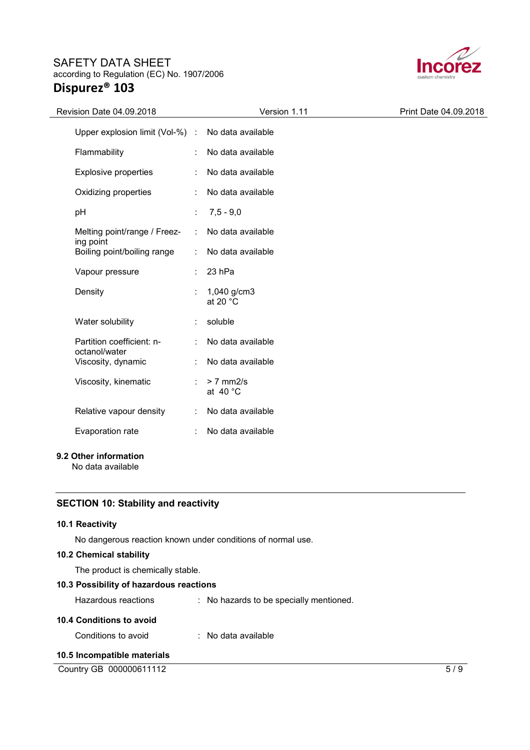

| Revision Date 04.09.2018                      | Version 1.11                      | Print Date 04.09.2018 |
|-----------------------------------------------|-----------------------------------|-----------------------|
| Upper explosion limit (Vol-%) :               | No data available                 |                       |
| Flammability<br>÷                             | No data available                 |                       |
| <b>Explosive properties</b>                   | No data available                 |                       |
| Oxidizing properties                          | No data available                 |                       |
| pH                                            | $7,5 - 9,0$                       |                       |
| Melting point/range / Freez-<br>÷             | No data available                 |                       |
| ing point<br>Boiling point/boiling range<br>÷ | No data available                 |                       |
| Vapour pressure                               | 23 hPa                            |                       |
| Density                                       | 1,040 g/cm3<br>at 20 $^{\circ}$ C |                       |
| Water solubility                              | soluble                           |                       |
| Partition coefficient: n-<br>octanol/water    | No data available                 |                       |
| Viscosity, dynamic                            | No data available                 |                       |
| Viscosity, kinematic<br>÷                     | $> 7$ mm $2/s$<br>at 40 °C        |                       |
| Relative vapour density<br>÷                  | No data available                 |                       |
| Evaporation rate<br>÷                         | No data available                 |                       |
|                                               |                                   |                       |

# **9.2 Other information**

No data available

# **SECTION 10: Stability and reactivity**

# **10.1 Reactivity**

No dangerous reaction known under conditions of normal use.

### **10.2 Chemical stability**

The product is chemically stable.

# **10.3 Possibility of hazardous reactions**

| Hazardous reactions      | : No hazards to be specially mentioned. |
|--------------------------|-----------------------------------------|
| 10.4 Conditions to avoid |                                         |
| Conditions to avoid      | $\therefore$ No data available          |

# **10.5 Incompatible materials**

Country GB 000000611112 5/9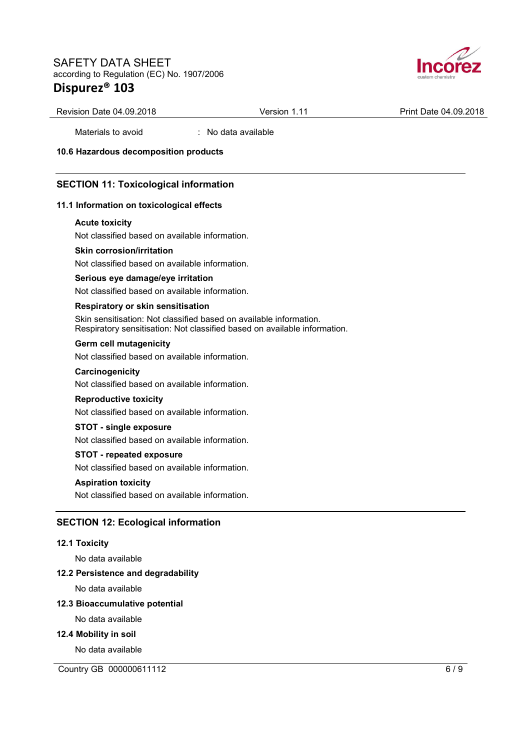

Revision Date 04.09.2018 **Version 1.11** Print Date 04.09.2018

Materials to avoid : No data available

**10.6 Hazardous decomposition products** 

### **SECTION 11: Toxicological information**

#### **11.1 Information on toxicological effects**

#### **Acute toxicity**

Not classified based on available information.

#### **Skin corrosion/irritation**

Not classified based on available information.

#### **Serious eye damage/eye irritation**

Not classified based on available information.

#### **Respiratory or skin sensitisation**

Skin sensitisation: Not classified based on available information. Respiratory sensitisation: Not classified based on available information.

### **Germ cell mutagenicity**

Not classified based on available information.

#### **Carcinogenicity**

Not classified based on available information.

#### **Reproductive toxicity**

Not classified based on available information.

#### **STOT - single exposure**

Not classified based on available information.

#### **STOT - repeated exposure**

Not classified based on available information.

#### **Aspiration toxicity**

Not classified based on available information.

### **SECTION 12: Ecological information**

#### **12.1 Toxicity**

No data available

#### **12.2 Persistence and degradability**

No data available

#### **12.3 Bioaccumulative potential**

No data available

#### **12.4 Mobility in soil**

No data available

Country GB 000000611112 6/9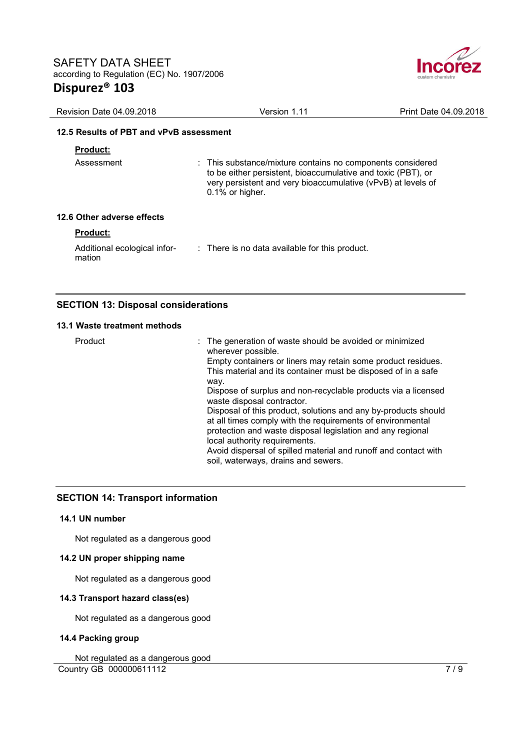

| Revision Date 04.09.2018                | Version 1.11                                                                                                                                                                                                     | Print Date 04.09.2018 |
|-----------------------------------------|------------------------------------------------------------------------------------------------------------------------------------------------------------------------------------------------------------------|-----------------------|
| 12.5 Results of PBT and vPvB assessment |                                                                                                                                                                                                                  |                       |
| <b>Product:</b>                         |                                                                                                                                                                                                                  |                       |
| Assessment                              | : This substance/mixture contains no components considered<br>to be either persistent, bioaccumulative and toxic (PBT), or<br>very persistent and very bioaccumulative (vPvB) at levels of<br>$0.1\%$ or higher. |                       |
| 12.6 Other adverse effects              |                                                                                                                                                                                                                  |                       |
| <b>Product:</b>                         |                                                                                                                                                                                                                  |                       |
| Additional ecological infor-<br>mation  | : There is no data available for this product.                                                                                                                                                                   |                       |

# **SECTION 13: Disposal considerations**

#### **13.1 Waste treatment methods**

| Product | : The generation of waste should be avoided or minimized<br>wherever possible.                                                                                                                                              |
|---------|-----------------------------------------------------------------------------------------------------------------------------------------------------------------------------------------------------------------------------|
|         | Empty containers or liners may retain some product residues.<br>This material and its container must be disposed of in a safe                                                                                               |
|         | way.                                                                                                                                                                                                                        |
|         | Dispose of surplus and non-recyclable products via a licensed<br>waste disposal contractor.                                                                                                                                 |
|         | Disposal of this product, solutions and any by-products should<br>at all times comply with the requirements of environmental<br>protection and waste disposal legislation and any regional<br>local authority requirements. |
|         |                                                                                                                                                                                                                             |
|         | Avoid dispersal of spilled material and runoff and contact with                                                                                                                                                             |
|         | soil, waterways, drains and sewers.                                                                                                                                                                                         |

# **SECTION 14: Transport information**

#### **14.1 UN number**

Not regulated as a dangerous good

### **14.2 UN proper shipping name**

Not regulated as a dangerous good

### **14.3 Transport hazard class(es)**

Not regulated as a dangerous good

# **14.4 Packing group**

**Country GB 000000611112** 7/9 Not regulated as a dangerous good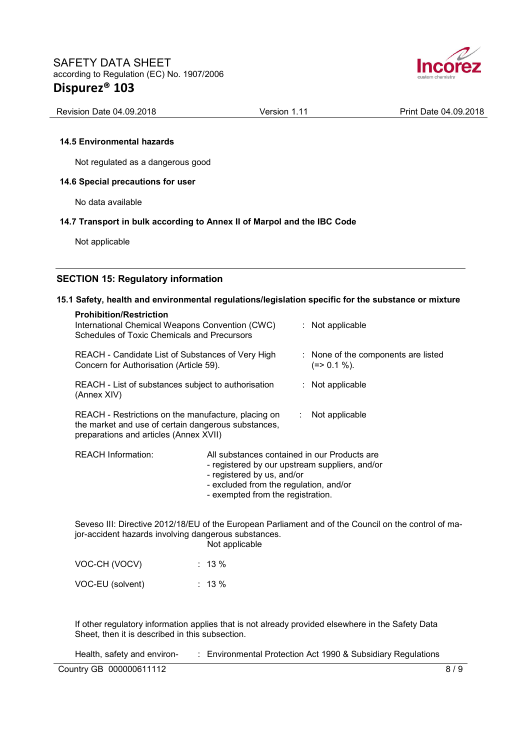

| Revision Date 04.09.2018 | Version 1.11 | Print Date 04.09.2018 |
|--------------------------|--------------|-----------------------|

#### **14.5 Environmental hazards**

Not regulated as a dangerous good

#### **14.6 Special precautions for user**

No data available

#### **14.7 Transport in bulk according to Annex II of Marpol and the IBC Code**

Not applicable

### **SECTION 15: Regulatory information**

### **15.1 Safety, health and environmental regulations/legislation specific for the substance or mixture**

| <b>Prohibition/Restriction</b><br>International Chemical Weapons Convention (CWC)<br>Schedules of Toxic Chemicals and Precursors                     |                                                                                                                                                                                                             |                  | : Not applicable                                                                                     |
|------------------------------------------------------------------------------------------------------------------------------------------------------|-------------------------------------------------------------------------------------------------------------------------------------------------------------------------------------------------------------|------------------|------------------------------------------------------------------------------------------------------|
| REACH - Candidate List of Substances of Very High<br>Concern for Authorisation (Article 59).                                                         |                                                                                                                                                                                                             |                  | : None of the components are listed<br>$(=>0.1\%).$                                                  |
| REACH - List of substances subject to authorisation<br>(Annex XIV)                                                                                   |                                                                                                                                                                                                             |                  | $:$ Not applicable                                                                                   |
| REACH - Restrictions on the manufacture, placing on<br>the market and use of certain dangerous substances,<br>preparations and articles (Annex XVII) |                                                                                                                                                                                                             | $\mathbb{Z}^n$ . | Not applicable                                                                                       |
| <b>REACH Information:</b>                                                                                                                            | All substances contained in our Products are<br>- registered by our upstream suppliers, and/or<br>- registered by us, and/or<br>- excluded from the regulation, and/or<br>- exempted from the registration. |                  |                                                                                                      |
| jor-accident hazards involving dangerous substances.                                                                                                 | Not applicable                                                                                                                                                                                              |                  | Seveso III: Directive 2012/18/EU of the European Parliament and of the Council on the control of ma- |

| VOC-CH (VOCV)    | $\therefore$ 13 % |
|------------------|-------------------|
| VOC-EU (solvent) | $\therefore$ 13 % |

If other regulatory information applies that is not already provided elsewhere in the Safety Data Sheet, then it is described in this subsection.

Health, safety and environ- : Environmental Protection Act 1990 & Subsidiary Regulations

Country GB 000000611112 8/9